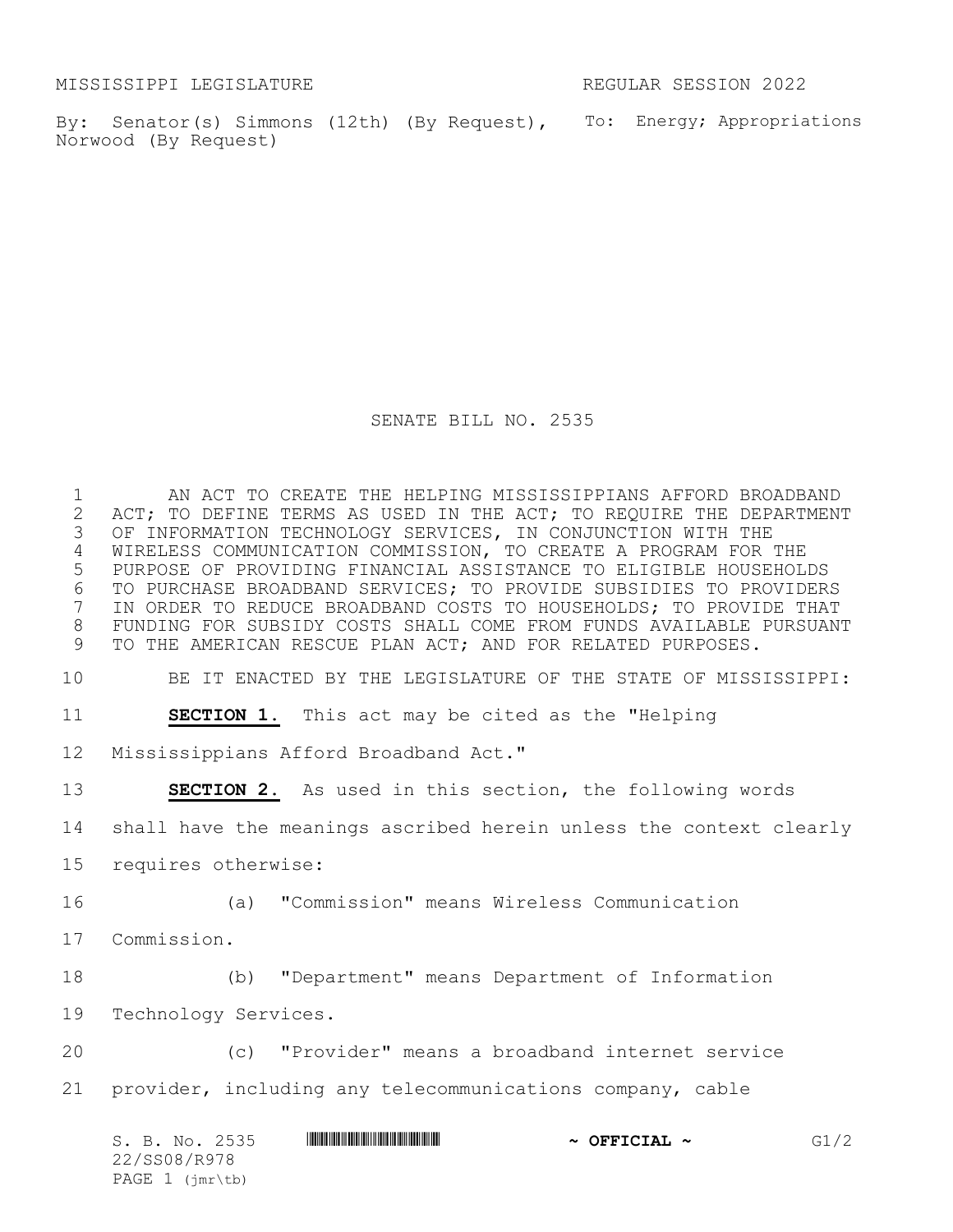MISSISSIPPI LEGISLATURE REGULAR SESSION 2022

By: Senator(s) Simmons (12th) (By Request), To: Energy; Appropriations Norwood (By Request)

SENATE BILL NO. 2535

1 AN ACT TO CREATE THE HELPING MISSISSIPPIANS AFFORD BROADBAND<br>2 ACT; TO DEFINE TERMS AS USED IN THE ACT; TO REQUIRE THE DEPARTMENT 2 ACT; TO DEFINE TERMS AS USED IN THE ACT; TO REQUIRE THE DEPARTMENT<br>3 OF INFORMATION TECHNOLOGY SERVICES, IN CONJUNCTION WITH THE OF INFORMATION TECHNOLOGY SERVICES, IN CONJUNCTION WITH THE 4 WIRELESS COMMUNICATION COMMISSION, TO CREATE A PROGRAM FOR THE 5 PURPOSE OF PROVIDING FINANCIAL ASSISTANCE TO ELIGIBLE HOUSEHOLDS 6 TO PURCHASE BROADBAND SERVICES; TO PROVIDE SUBSIDIES TO PROVIDERS<br>7 IN ORDER TO REDUCE BROADBAND COSTS TO HOUSEHOLDS; TO PROVIDE THAT IN ORDER TO REDUCE BROADBAND COSTS TO HOUSEHOLDS; TO PROVIDE THAT 8 FUNDING FOR SUBSIDY COSTS SHALL COME FROM FUNDS AVAILABLE PURSUANT 9 TO THE AMERICAN RESCUE PLAN ACT; AND FOR RELATED PURPOSES.

10 BE IT ENACTED BY THE LEGISLATURE OF THE STATE OF MISSISSIPPI:

11 **SECTION 1.** This act may be cited as the "Helping

12 Mississippians Afford Broadband Act."

13 **SECTION 2.** As used in this section, the following words

14 shall have the meanings ascribed herein unless the context clearly

15 requires otherwise:

16 (a) "Commission" means Wireless Communication

17 Commission.

18 (b) "Department" means Department of Information

19 Technology Services.

20 (c) "Provider" means a broadband internet service 21 provider, including any telecommunications company, cable

S. B. No. 2535 **\*\*\* AND \*\*\* AND \*\*\*\* \*\*\* COFFICIAL ~** G1/2 22/SS08/R978 PAGE 1 (jmr\tb)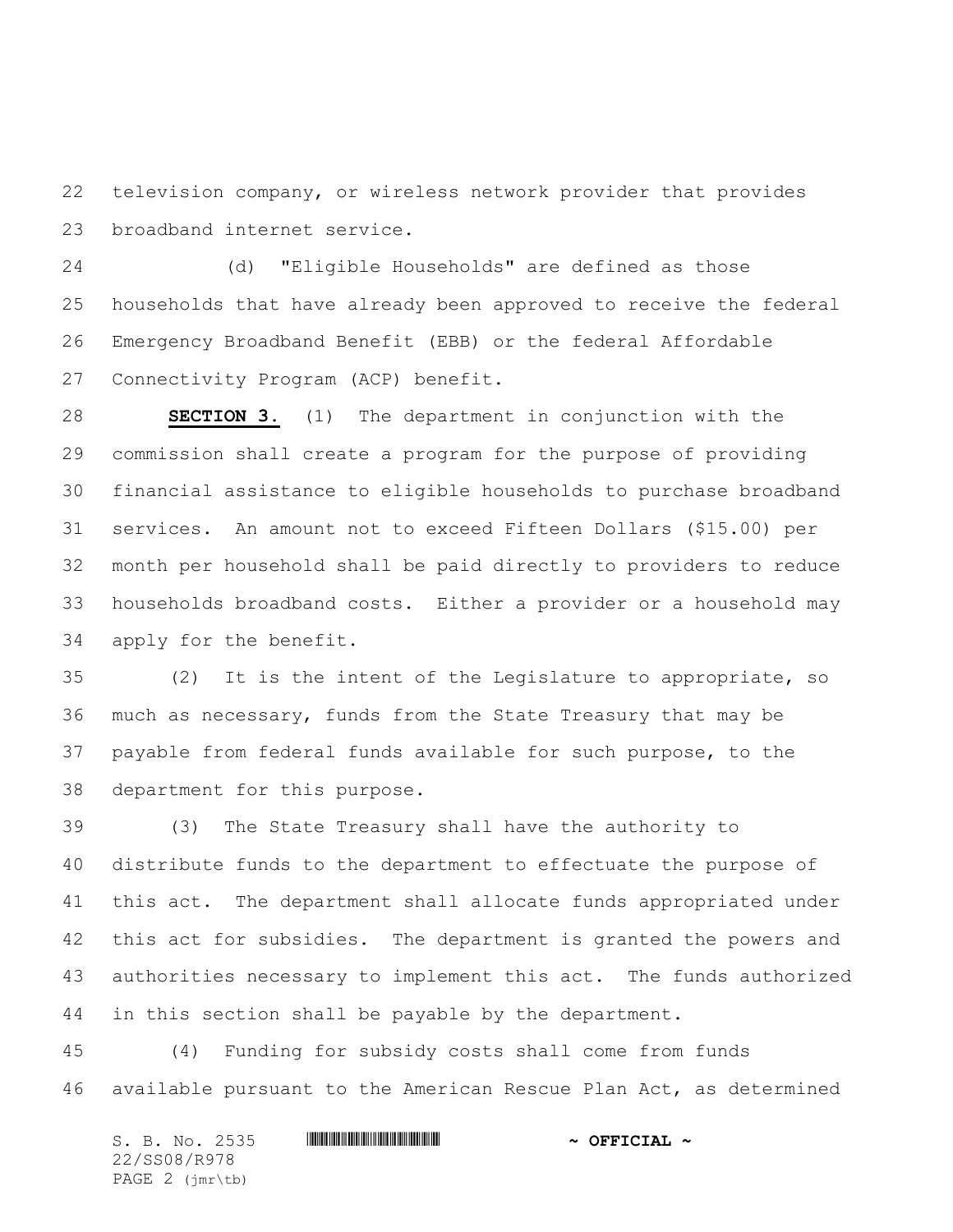television company, or wireless network provider that provides broadband internet service.

 (d) "Eligible Households" are defined as those households that have already been approved to receive the federal Emergency Broadband Benefit (EBB) or the federal Affordable Connectivity Program (ACP) benefit.

 **SECTION 3.** (1) The department in conjunction with the commission shall create a program for the purpose of providing financial assistance to eligible households to purchase broadband services. An amount not to exceed Fifteen Dollars (\$15.00) per month per household shall be paid directly to providers to reduce households broadband costs. Either a provider or a household may apply for the benefit.

 (2) It is the intent of the Legislature to appropriate, so much as necessary, funds from the State Treasury that may be payable from federal funds available for such purpose, to the department for this purpose.

 (3) The State Treasury shall have the authority to distribute funds to the department to effectuate the purpose of this act. The department shall allocate funds appropriated under this act for subsidies. The department is granted the powers and authorities necessary to implement this act. The funds authorized in this section shall be payable by the department.

 (4) Funding for subsidy costs shall come from funds available pursuant to the American Rescue Plan Act, as determined

S. B. No. 2535 **\*\*\* ASS08/R978\* ASS08/R978\* \*\*** OFFICIAL ~ 22/SS08/R978 PAGE 2 (jmr\tb)